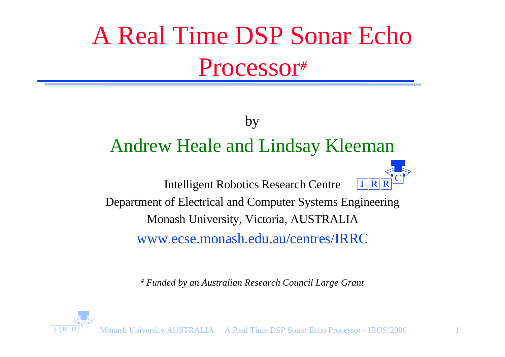# A Real Time DSP Sonar Echo Processor*#*

#### by Andrew Heale and Lindsay Kleeman

Intelligent Robotics Research Centre



Department of Electrical and Computer Systems Engineering Monash University, Victoria, AUSTRALIA www.ecse.monash.edu.au/centres/IRRC

*# Funded by an Australian Research Council Large Grant*



Monash University AUSTRALIA A Real Time DSP Sonar Echo Processor - IROS'2000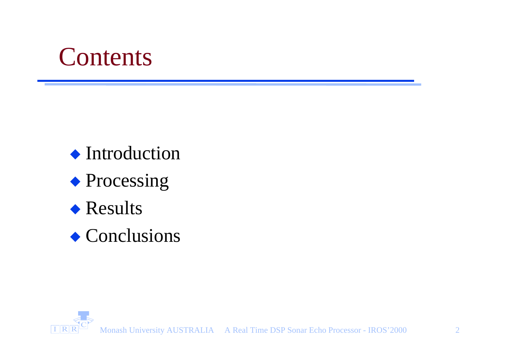#### **Contents**

 $\blacklozenge$  Introduction

- $\blacklozenge$  Processing
- $\triangle$  Results

 $\triangle$  Conclusions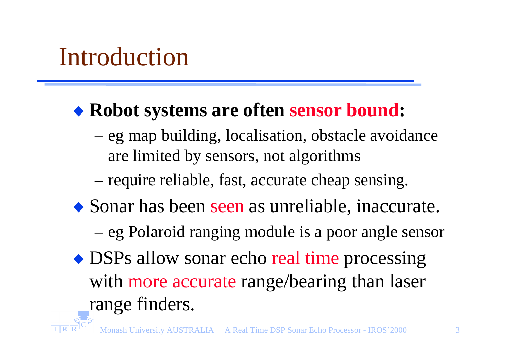### Introduction

#### ◆ Robot systems are often sensor bound:

- eg map building, localisation, obstacle avoidance are limited by sensors, not algorithms
- require reliable, fast, accurate cheap sensing.
- $\bullet$  Sonar has been seen as unreliable, inaccurate.
	- eg Polaroid ranging module is a poor angle sensor
- DSPs allow sonar echo real time processing with more accurate range/bearing than laser range finders.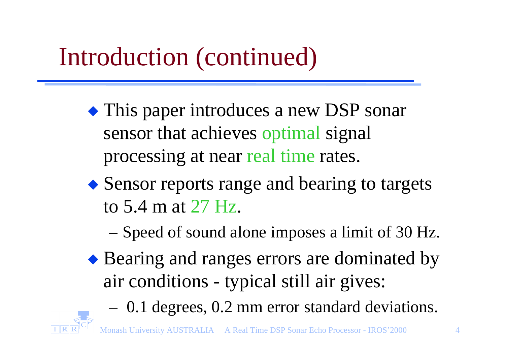## Introduction (continued)

- $\bullet$  This paper introduces a new DSP sonar sensor that achieves optimal signal processing at near real time rates.
- $\triangle$  Sensor reports range and bearing to targets to 5.4 m at 27 Hz.
	- Speed of sound alone imposes a limit of 30 Hz.
- ◆ Bearing and ranges errors are dominated by air conditions - typical still air gives:
	- 0.1 degrees, 0.2 mm error standard deviations.

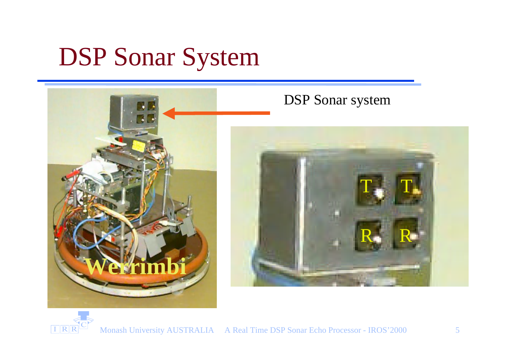## DSP Sonar System



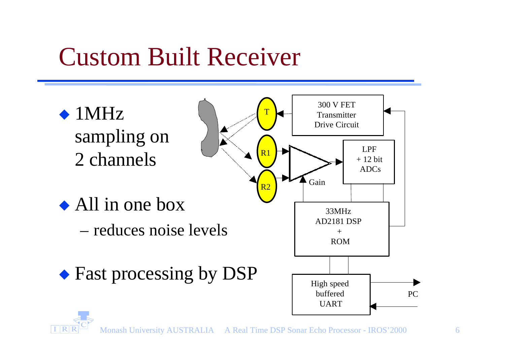### Custom Built Receiver

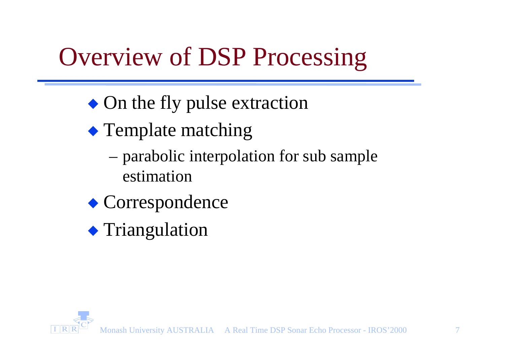## Overview of DSP Processing

- $\bullet$  On the fly pulse extraction
- $\triangle$  Template matching
	- parabolic interpolation for sub sample estimation
- $\bullet$  Correspondence
- $\blacklozenge$  Triangulation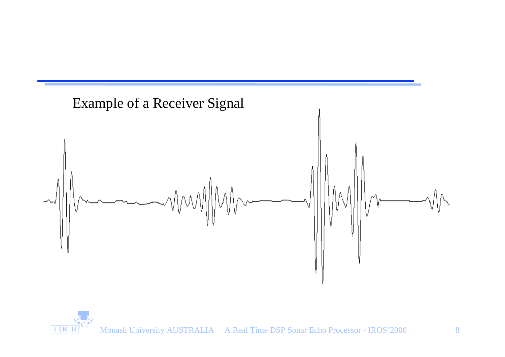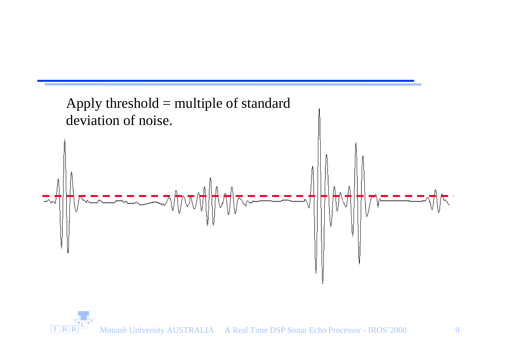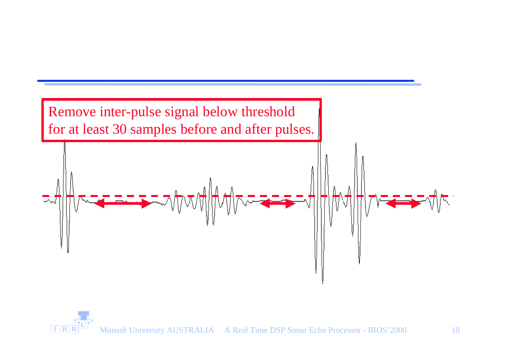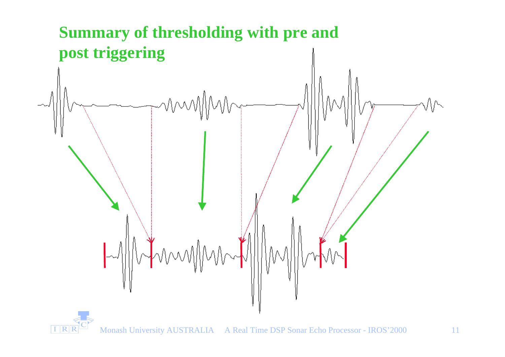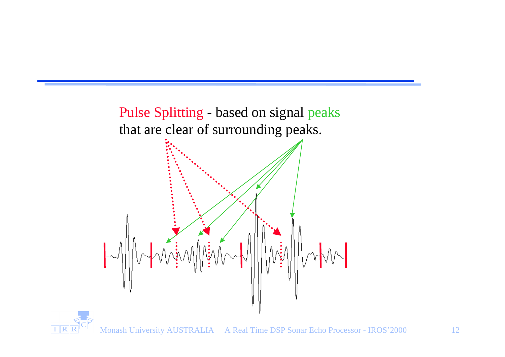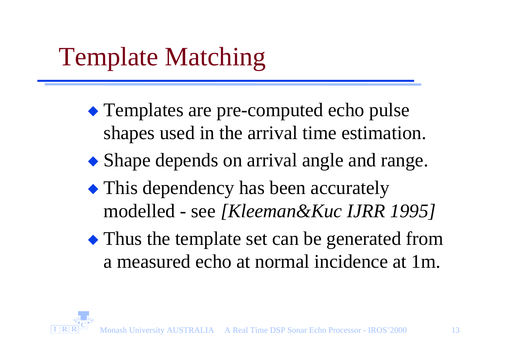## Template Matching

- $\bullet$  Templates are pre-computed echo pulse shapes used in the arrival time estimation.
- $\bullet$  Shape depends on arrival angle and range.
- $\bullet$  This dependency has been accurately modelled - see *[Kleeman&Kuc IJRR 1995]*
- $\bullet$  Thus the template set can be generated from a measured echo at normal incidence at 1m.

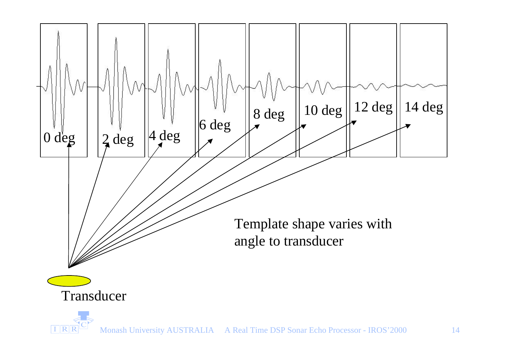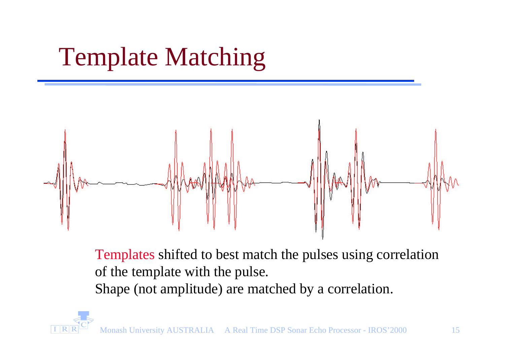## Template Matching



Templates shifted to best match the pulses using correlation of the template with the pulse. Shape (not amplitude) are matched by a correlation.

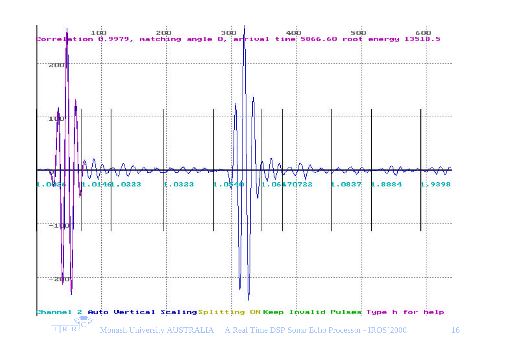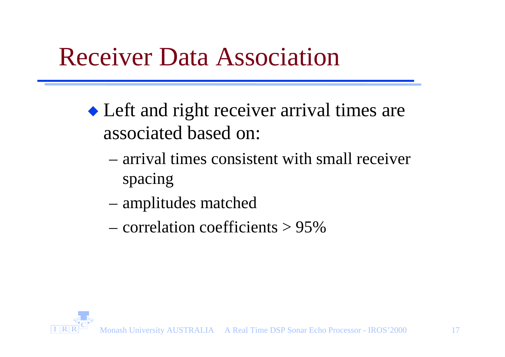#### Receiver Data Association

- $\triangle$  Left and right receiver arrival times are associated based on:
	- arrival times consistent with small receiver spacing
	- amplitudes matched
	- correlation coefficients > 95%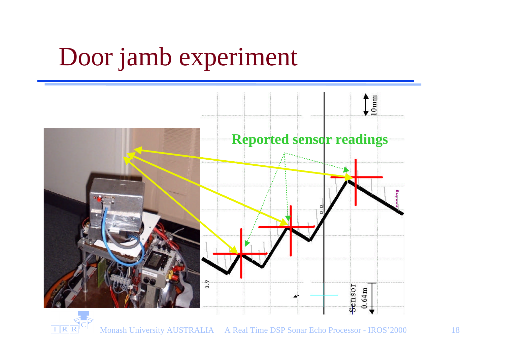#### Door jamb experiment



**TRRUM** Monash University AUSTRALIA A Real Time DSP Sonar Echo Processor - IROS'2000 18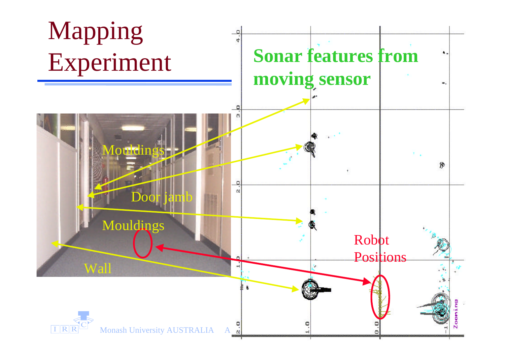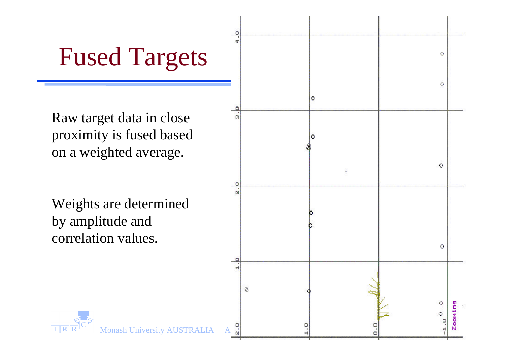#### Fused Targets

Raw target data in close proximity is fused based on a weighted average.

Weights are determined by amplitude and correlation values.